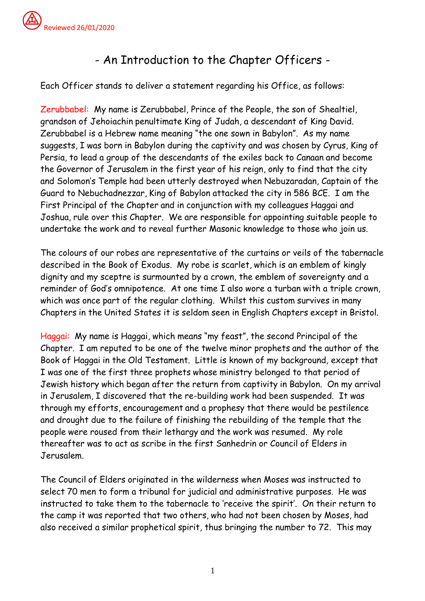## - An Introduction to the Chapter Officers -

Each Officer stands to deliver a statement regarding his Office, as follows:

Zerubbabel: My name is Zerubbabel, Prince of the People, the son of Shealtiel, grandson of Jehoiachin penultimate King of Judah, a descendant of King David. Zerubbabel is a Hebrew name meaning "the one sown in Babylon". As my name suggests, I was born in Babylon during the captivity and was chosen by Cyrus, King of Persia, to lead a group of the descendants of the exiles back to Canaan and become the Governor of Jerusalem in the first year of his reign, only to find that the city and Solomon's Temple had been utterly destroyed when Nebuzaradan, Captain of the Guard to Nebuchadnezzar, King of Babylon attacked the city in 586 BCE. I am the First Principal of the Chapter and in conjunction with my colleagues Haggai and Joshua, rule over this Chapter. We are responsible for appointing suitable people to undertake the work and to reveal further Masonic knowledge to those who join us.

The colours of our robes are representative of the curtains or veils of the tabernacle described in the Book of Exodus. My robe is scarlet, which is an emblem of kingly dignity and my sceptre is surmounted by a crown, the emblem of sovereignty and a reminder of God's omnipotence. At one time I also wore a turban with a triple crown, which was once part of the regular clothing. Whilst this custom survives in many Chapters in the United States it is seldom seen in English Chapters except in Bristol.

Haggai: My name is Haggai, which means "my feast", the second Principal of the Chapter. I am reputed to be one of the twelve minor prophets and the author of the Book of Haggai in the Old Testament. Little is known of my background, except that I was one of the first three prophets whose ministry belonged to that period of Jewish history which began after the return from captivity in Babylon. On my arrival in Jerusalem, I discovered that the re-building work had been suspended. It was through my efforts, encouragement and a prophesy that there would be pestilence and drought due to the failure of finishing the rebuilding of the temple that the people were roused from their lethargy and the work was resumed. My role thereafter was to act as scribe in the first Sanhedrin or Council of Elders in Jerusalem.

The Council of Elders originated in the wilderness when Moses was instructed to select 70 men to form a tribunal for judicial and administrative purposes. He was instructed to take them to the tabernacle to 'receive the spirit'. On their return to the camp it was reported that two others, who had not been chosen by Moses, had also received a similar prophetical spirit, thus bringing the number to 72. This may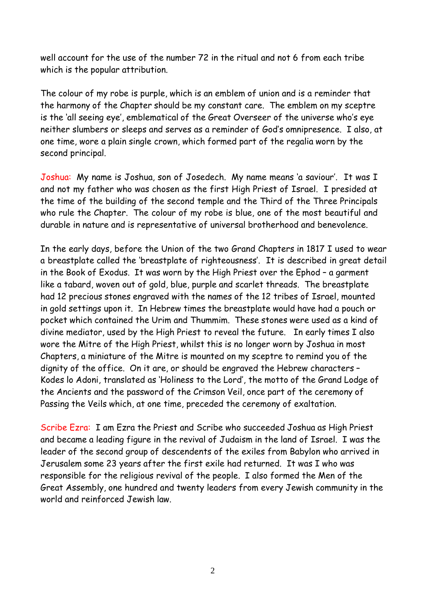well account for the use of the number 72 in the ritual and not 6 from each tribe which is the popular attribution.

The colour of my robe is purple, which is an emblem of union and is a reminder that the harmony of the Chapter should be my constant care. The emblem on my sceptre is the 'all seeing eye', emblematical of the Great Overseer of the universe who's eye neither slumbers or sleeps and serves as a reminder of God's omnipresence. I also, at one time, wore a plain single crown, which formed part of the regalia worn by the second principal.

Joshua: My name is Joshua, son of Josedech. My name means 'a saviour'. It was I and not my father who was chosen as the first High Priest of Israel. I presided at the time of the building of the second temple and the Third of the Three Principals who rule the Chapter. The colour of my robe is blue, one of the most beautiful and durable in nature and is representative of universal brotherhood and benevolence.

In the early days, before the Union of the two Grand Chapters in 1817 I used to wear a breastplate called the 'breastplate of righteousness'. It is described in great detail in the Book of Exodus. It was worn by the High Priest over the Ephod – a garment like a tabard, woven out of gold, blue, purple and scarlet threads. The breastplate had 12 precious stones engraved with the names of the 12 tribes of Israel, mounted in gold settings upon it. In Hebrew times the breastplate would have had a pouch or pocket which contained the Urim and Thummim. These stones were used as a kind of divine mediator, used by the High Priest to reveal the future. In early times I also wore the Mitre of the High Priest, whilst this is no longer worn by Joshua in most Chapters, a miniature of the Mitre is mounted on my sceptre to remind you of the dignity of the office. On it are, or should be engraved the Hebrew characters – Kodes lo Adoni, translated as 'Holiness to the Lord', the motto of the Grand Lodge of the Ancients and the password of the Crimson Veil, once part of the ceremony of Passing the Veils which, at one time, preceded the ceremony of exaltation.

Scribe Ezra: I am Ezra the Priest and Scribe who succeeded Joshua as High Priest and became a leading figure in the revival of Judaism in the land of Israel. I was the leader of the second group of descendents of the exiles from Babylon who arrived in Jerusalem some 23 years after the first exile had returned. It was I who was responsible for the religious revival of the people. I also formed the Men of the Great Assembly, one hundred and twenty leaders from every Jewish community in the world and reinforced Jewish law.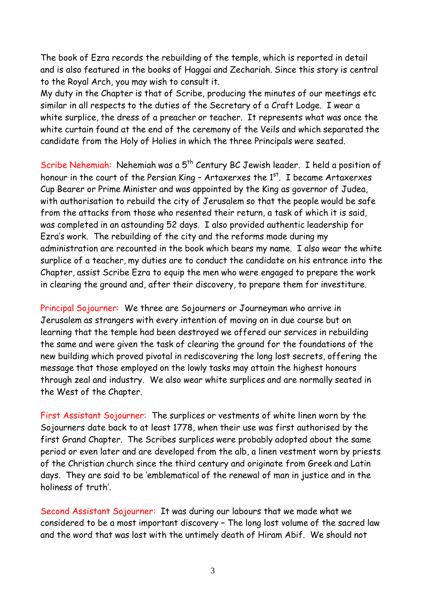The book of Ezra records the rebuilding of the temple, which is reported in detail and is also featured in the books of Haggai and Zechariah. Since this story is central to the Royal Arch, you may wish to consult it.

My duty in the Chapter is that of Scribe, producing the minutes of our meetings etc similar in all respects to the duties of the Secretary of a Craft Lodge. I wear a white surplice, the dress of a preacher or teacher. It represents what was once the white curtain found at the end of the ceremony of the Veils and which separated the candidate from the Holy of Holies in which the three Principals were seated.

Scribe Nehemiah: Nehemiah was a 5<sup>th</sup> Century BC Jewish leader. I held a position of honour in the court of the Persian King – Artaxerxes the  $1^\mathrm{st}$ . I became Artaxerxes Cup Bearer or Prime Minister and was appointed by the King as governor of Judea, with authorisation to rebuild the city of Jerusalem so that the people would be safe from the attacks from those who resented their return, a task of which it is said, was completed in an astounding 52 days. I also provided authentic leadership for Ezra's work. The rebuilding of the city and the reforms made during my administration are recounted in the book which bears my name. I also wear the white surplice of a teacher, my duties are to conduct the candidate on his entrance into the Chapter, assist Scribe Ezra to equip the men who were engaged to prepare the work in clearing the ground and, after their discovery, to prepare them for investiture.

Principal Sojourner: We three are Sojourners or Journeyman who arrive in Jerusalem as strangers with every intention of moving on in due course but on learning that the temple had been destroyed we offered our services in rebuilding the same and were given the task of clearing the ground for the foundations of the new building which proved pivotal in rediscovering the long lost secrets, offering the message that those employed on the lowly tasks may attain the highest honours through zeal and industry. We also wear white surplices and are normally seated in the West of the Chapter.

First Assistant Sojourner: The surplices or vestments of white linen worn by the Sojourners date back to at least 1778, when their use was first authorised by the first Grand Chapter. The Scribes surplices were probably adopted about the same period or even later and are developed from the alb, a linen vestment worn by priests of the Christian church since the third century and originate from Greek and Latin days. They are said to be 'emblematical of the renewal of man in justice and in the holiness of truth'.

Second Assistant Sojourner: It was during our labours that we made what we considered to be a most important discovery – The long lost volume of the sacred law and the word that was lost with the untimely death of Hiram Abif. We should not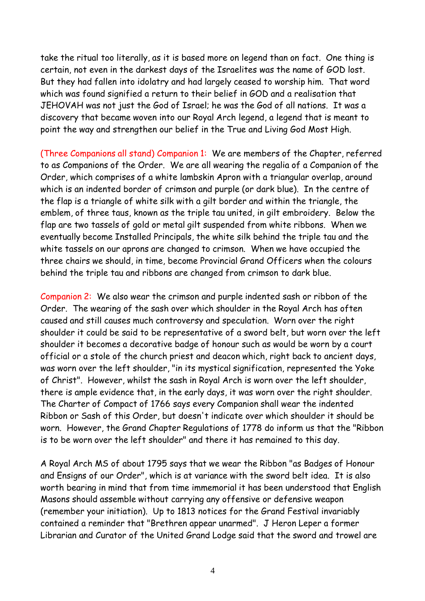take the ritual too literally, as it is based more on legend than on fact. One thing is certain, not even in the darkest days of the Israelites was the name of GOD lost. But they had fallen into idolatry and had largely ceased to worship him. That word which was found signified a return to their belief in GOD and a realisation that JEHOVAH was not just the God of Israel; he was the God of all nations. It was a discovery that became woven into our Royal Arch legend, a legend that is meant to point the way and strengthen our belief in the True and Living God Most High.

(Three Companions all stand) Companion 1: We are members of the Chapter, referred to as Companions of the Order. We are all wearing the regalia of a Companion of the Order, which comprises of a white lambskin Apron with a triangular overlap, around which is an indented border of crimson and purple (or dark blue). In the centre of the flap is a triangle of white silk with a gilt border and within the triangle, the emblem, of three taus, known as the triple tau united, in gilt embroidery. Below the flap are two tassels of gold or metal gilt suspended from white ribbons. When we eventually become Installed Principals, the white silk behind the triple tau and the white tassels on our aprons are changed to crimson. When we have occupied the three chairs we should, in time, become Provincial Grand Officers when the colours behind the triple tau and ribbons are changed from crimson to dark blue.

Companion 2: We also wear the crimson and purple indented sash or ribbon of the Order. The wearing of the sash over which shoulder in the Royal Arch has often caused and still causes much controversy and speculation. Worn over the right shoulder it could be said to be representative of a sword belt, but worn over the left shoulder it becomes a decorative badge of honour such as would be worn by a court official or a stole of the church priest and deacon which, right back to ancient days, was worn over the left shoulder, "in its mystical signification, represented the Yoke of Christ". However, whilst the sash in Royal Arch is worn over the left shoulder, there is ample evidence that, in the early days, it was worn over the right shoulder. The Charter of Compact of 1766 says every Companion shall wear the indented Ribbon or Sash of this Order, but doesn't indicate over which shoulder it should be worn. However, the Grand Chapter Regulations of 1778 do inform us that the "Ribbon is to be worn over the left shoulder" and there it has remained to this day.

A Royal Arch MS of about 1795 says that we wear the Ribbon "as Badges of Honour and Ensigns of our Order", which is at variance with the sword belt idea. It is also worth bearing in mind that from time immemorial it has been understood that English Masons should assemble without carrying any offensive or defensive weapon (remember your initiation). Up to 1813 notices for the Grand Festival invariably contained a reminder that "Brethren appear unarmed". J Heron Leper a former Librarian and Curator of the United Grand Lodge said that the sword and trowel are